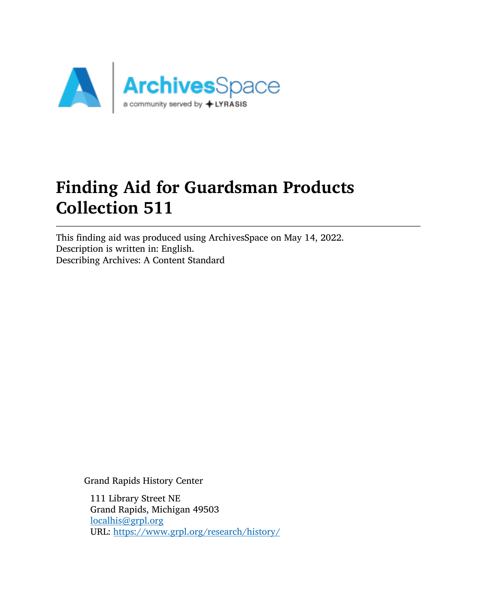

# Finding Aid for Guardsman Products Collection 511

This finding aid was produced using ArchivesSpace on May 14, 2022. Description is written in: English. Describing Archives: A Content Standard

Grand Rapids History Center

111 Library Street NE Grand Rapids, Michigan 49503 [localhis@grpl.org](mailto:localhis@grpl.org) URL: <https://www.grpl.org/research/history/>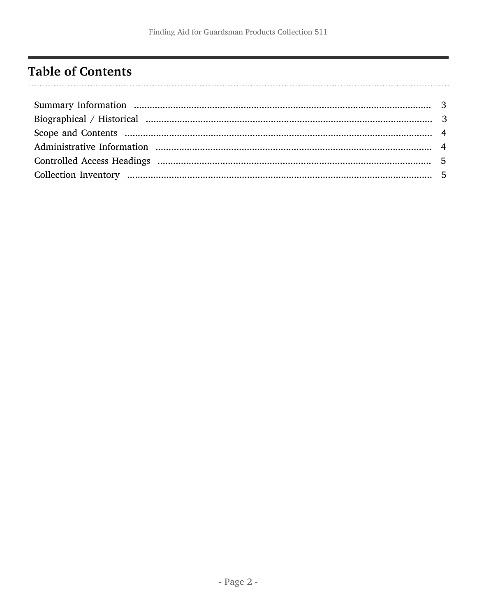## <span id="page-1-0"></span>**Table of Contents**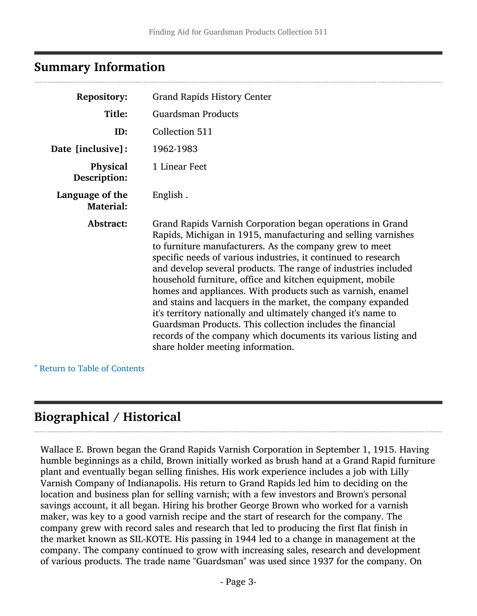## <span id="page-2-0"></span>Summary Information

| <b>Repository:</b>                  | <b>Grand Rapids History Center</b>                                                                                                                                                                                                                                                                                                                                                                                                                                                                                                                                                                                                                                                                                                                          |
|-------------------------------------|-------------------------------------------------------------------------------------------------------------------------------------------------------------------------------------------------------------------------------------------------------------------------------------------------------------------------------------------------------------------------------------------------------------------------------------------------------------------------------------------------------------------------------------------------------------------------------------------------------------------------------------------------------------------------------------------------------------------------------------------------------------|
| Title:                              | <b>Guardsman Products</b>                                                                                                                                                                                                                                                                                                                                                                                                                                                                                                                                                                                                                                                                                                                                   |
| ID:                                 | Collection 511                                                                                                                                                                                                                                                                                                                                                                                                                                                                                                                                                                                                                                                                                                                                              |
| Date [inclusive]:                   | 1962-1983                                                                                                                                                                                                                                                                                                                                                                                                                                                                                                                                                                                                                                                                                                                                                   |
| Physical<br>Description:            | 1 Linear Feet                                                                                                                                                                                                                                                                                                                                                                                                                                                                                                                                                                                                                                                                                                                                               |
| Language of the<br><b>Material:</b> | English.                                                                                                                                                                                                                                                                                                                                                                                                                                                                                                                                                                                                                                                                                                                                                    |
| Abstract:                           | Grand Rapids Varnish Corporation began operations in Grand<br>Rapids, Michigan in 1915, manufacturing and selling varnishes<br>to furniture manufacturers. As the company grew to meet<br>specific needs of various industries, it continued to research<br>and develop several products. The range of industries included<br>household furniture, office and kitchen equipment, mobile<br>homes and appliances. With products such as varnish, enamel<br>and stains and lacquers in the market, the company expanded<br>it's territory nationally and ultimately changed it's name to<br>Guardsman Products. This collection includes the financial<br>records of the company which documents its various listing and<br>share holder meeting information. |

^ [Return to Table of Contents](#page-1-0)

## <span id="page-2-1"></span>Biographical / Historical

Wallace E. Brown began the Grand Rapids Varnish Corporation in September 1, 1915. Having humble beginnings as a child, Brown initially worked as brush hand at a Grand Rapid furniture plant and eventually began selling finishes. His work experience includes a job with Lilly Varnish Company of Indianapolis. His return to Grand Rapids led him to deciding on the location and business plan for selling varnish; with a few investors and Brown's personal savings account, it all began. Hiring his brother George Brown who worked for a varnish maker, was key to a good varnish recipe and the start of research for the company. The company grew with record sales and research that led to producing the first flat finish in the market known as SIL-KOTE. His passing in 1944 led to a change in management at the company. The company continued to grow with increasing sales, research and development of various products. The trade name "Guardsman" was used since 1937 for the company. On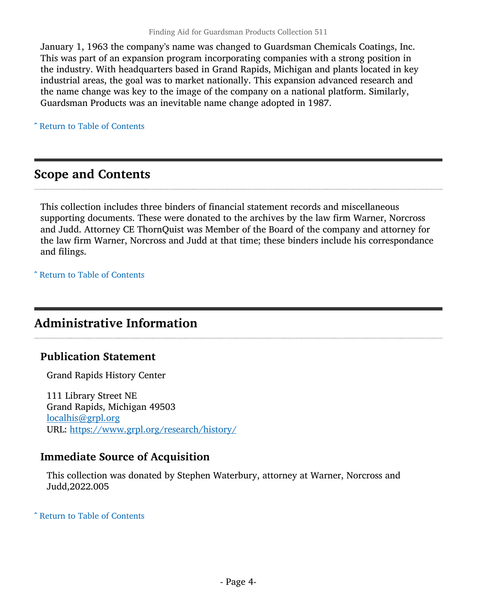January 1, 1963 the company's name was changed to Guardsman Chemicals Coatings, Inc. This was part of an expansion program incorporating companies with a strong position in the industry. With headquarters based in Grand Rapids, Michigan and plants located in key industrial areas, the goal was to market nationally. This expansion advanced research and the name change was key to the image of the company on a national platform. Similarly, Guardsman Products was an inevitable name change adopted in 1987.

^ [Return to Table of Contents](#page-1-0)

#### <span id="page-3-0"></span>Scope and Contents

This collection includes three binders of financial statement records and miscellaneous supporting documents. These were donated to the archives by the law firm Warner, Norcross and Judd. Attorney CE ThornQuist was Member of the Board of the company and attorney for the law firm Warner, Norcross and Judd at that time; these binders include his correspondance and filings.

^ [Return to Table of Contents](#page-1-0)

## <span id="page-3-1"></span>Administrative Information

#### Publication Statement

Grand Rapids History Center

111 Library Street NE Grand Rapids, Michigan 49503 [localhis@grpl.org](mailto:localhis@grpl.org) URL: <https://www.grpl.org/research/history/>

#### Immediate Source of Acquisition

This collection was donated by Stephen Waterbury, attorney at Warner, Norcross and Judd,2022.005

^ [Return to Table of Contents](#page-1-0)